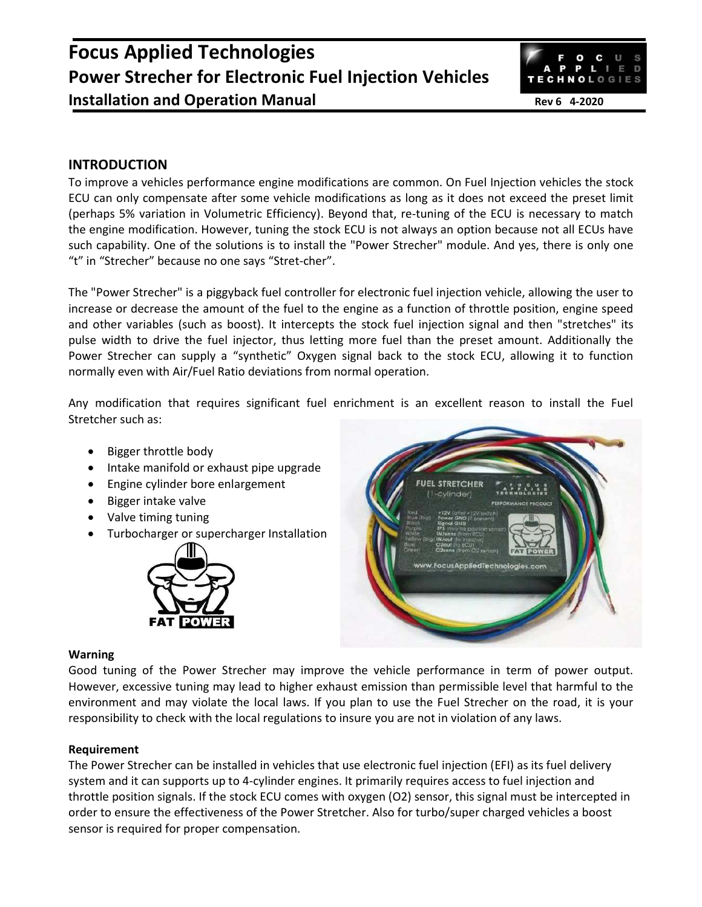# **Focus Applied Technologies Power Strecher for Electronic Fuel Injection Vehicles Installation and Operation Manual Rev 6 4-2020**



# **INTRODUCTION**

To improve a vehicles performance engine modifications are common. On Fuel Injection vehicles the stock ECU can only compensate after some vehicle modifications as long as it does not exceed the preset limit (perhaps 5% variation in Volumetric Efficiency). Beyond that, re-tuning of the ECU is necessary to match the engine modification. However, tuning the stock ECU is not always an option because not all ECUs have such capability. One of the solutions is to install the "Power Strecher" module. And yes, there is only one "t" in "Strecher" because no one says "Stret-cher".

The "Power Strecher" is a piggyback fuel controller for electronic fuel injection vehicle, allowing the user to increase or decrease the amount of the fuel to the engine as a function of throttle position, engine speed and other variables (such as boost). It intercepts the stock fuel injection signal and then "stretches" its pulse width to drive the fuel injector, thus letting more fuel than the preset amount. Additionally the Power Strecher can supply a "synthetic" Oxygen signal back to the stock ECU, allowing it to function normally even with Air/Fuel Ratio deviations from normal operation.

Any modification that requires significant fuel enrichment is an excellent reason to install the Fuel Stretcher such as:

- Bigger throttle body
- Intake manifold or exhaust pipe upgrade
- Engine cylinder bore enlargement
- Bigger intake valve
- Valve timing tuning
- Turbocharger or supercharger Installation





#### **Warning**

Good tuning of the Power Strecher may improve the vehicle performance in term of power output. However, excessive tuning may lead to higher exhaust emission than permissible level that harmful to the environment and may violate the local laws. If you plan to use the Fuel Strecher on the road, it is your responsibility to check with the local regulations to insure you are not in violation of any laws.

## **Requirement**

The Power Strecher can be installed in vehicles that use electronic fuel injection (EFI) as its fuel delivery system and it can supports up to 4-cylinder engines. It primarily requires access to fuel injection and throttle position signals. If the stock ECU comes with oxygen (O2) sensor, this signal must be intercepted in order to ensure the effectiveness of the Power Stretcher. Also for turbo/super charged vehicles a boost sensor is required for proper compensation.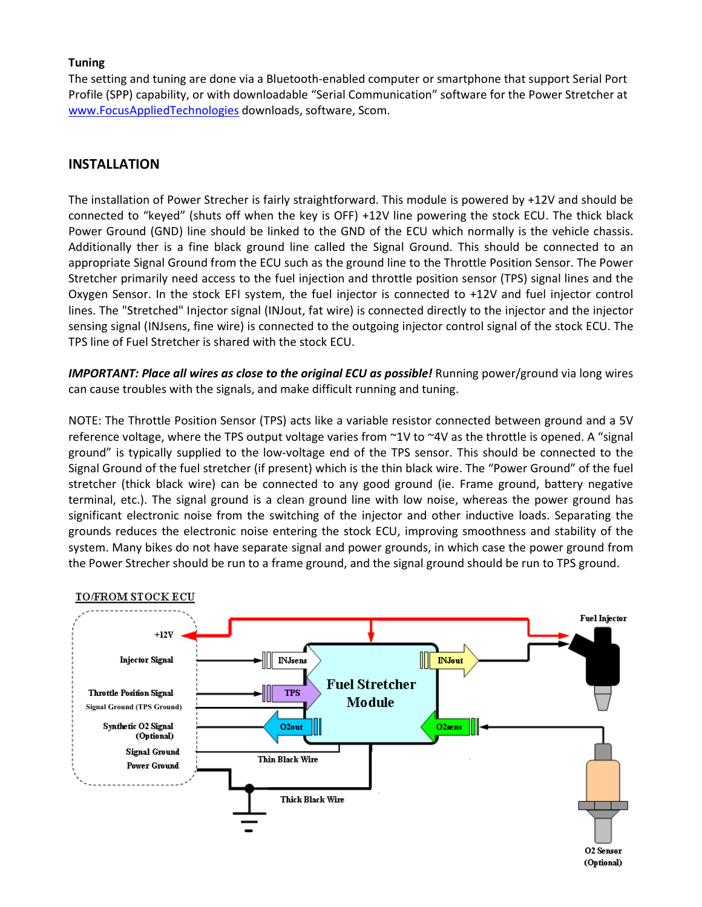#### **Tuning**

The setting and tuning are done via a Bluetooth-enabled computer or smartphone that support Serial Port Profile (SPP) capability, or with downloadable "Serial Communication" software for the Power Stretcher at www.FocusAppliedTechnologies downloads, software, Scom.

## **INSTALLATION**

The installation of Power Strecher is fairly straightforward. This module is powered by +12V and should be connected to "keyed" (shuts off when the key is OFF) +12V line powering the stock ECU. The thick black Power Ground (GND) line should be linked to the GND of the ECU which normally is the vehicle chassis. Additionally ther is a fine black ground line called the Signal Ground. This should be connected to an appropriate Signal Ground from the ECU such as the ground line to the Throttle Position Sensor. The Power Stretcher primarily need access to the fuel injection and throttle position sensor (TPS) signal lines and the Oxygen Sensor. In the stock EFI system, the fuel injector is connected to +12V and fuel injector control lines. The "Stretched" Injector signal (INJout, fat wire) is connected directly to the injector and the injector sensing signal (INJsens, fine wire) is connected to the outgoing injector control signal of the stock ECU. The TPS line of Fuel Stretcher is shared with the stock ECU.

*IMPORTANT: Place all wires as close to the original ECU as possible!* Running power/ground via long wires can cause troubles with the signals, and make difficult running and tuning.

NOTE: The Throttle Position Sensor (TPS) acts like a variable resistor connected between ground and a 5V reference voltage, where the TPS output voltage varies from ~1V to ~4V as the throttle is opened. A "signal ground" is typically supplied to the low-voltage end of the TPS sensor. This should be connected to the Signal Ground of the fuel stretcher (if present) which is the thin black wire. The "Power Ground" of the fuel stretcher (thick black wire) can be connected to any good ground (ie. Frame ground, battery negative terminal, etc.). The signal ground is a clean ground line with low noise, whereas the power ground has significant electronic noise from the switching of the injector and other inductive loads. Separating the grounds reduces the electronic noise entering the stock ECU, improving smoothness and stability of the system. Many bikes do not have separate signal and power grounds, in which case the power ground from the Power Strecher should be run to a frame ground, and the signal ground should be run to TPS ground.

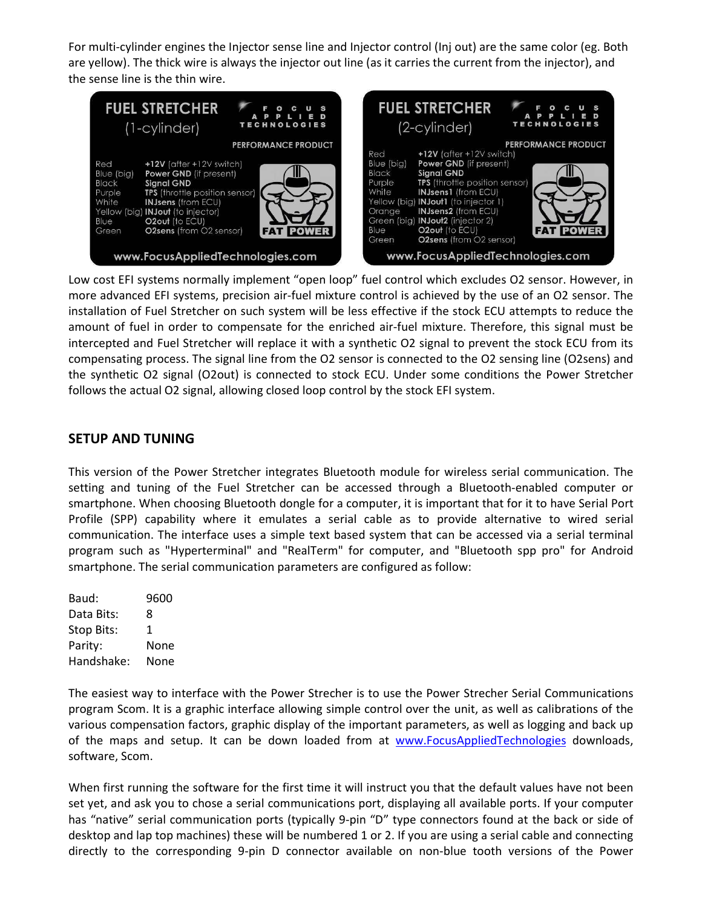For multi-cylinder engines the Injector sense line and Injector control (Inj out) are the same color (eg. Both are yellow). The thick wire is always the injector out line (as it carries the current from the injector), and the sense line is the thin wire.



Low cost EFI systems normally implement "open loop" fuel control which excludes O2 sensor. However, in more advanced EFI systems, precision air-fuel mixture control is achieved by the use of an O2 sensor. The installation of Fuel Stretcher on such system will be less effective if the stock ECU attempts to reduce the amount of fuel in order to compensate for the enriched air-fuel mixture. Therefore, this signal must be intercepted and Fuel Stretcher will replace it with a synthetic O2 signal to prevent the stock ECU from its compensating process. The signal line from the O2 sensor is connected to the O2 sensing line (O2sens) and the synthetic O2 signal (O2out) is connected to stock ECU. Under some conditions the Power Stretcher follows the actual O2 signal, allowing closed loop control by the stock EFI system.

# **SETUP AND TUNING**

This version of the Power Stretcher integrates Bluetooth module for wireless serial communication. The setting and tuning of the Fuel Stretcher can be accessed through a Bluetooth-enabled computer or smartphone. When choosing Bluetooth dongle for a computer, it is important that for it to have Serial Port Profile (SPP) capability where it emulates a serial cable as to provide alternative to wired serial communication. The interface uses a simple text based system that can be accessed via a serial terminal program such as "Hyperterminal" and "RealTerm" for computer, and "Bluetooth spp pro" for Android smartphone. The serial communication parameters are configured as follow:

Baud: 9600 Data Bits: 8 Stop Bits: 1 Parity: None Handshake: None

The easiest way to interface with the Power Strecher is to use the Power Strecher Serial Communications program Scom. It is a graphic interface allowing simple control over the unit, as well as calibrations of the various compensation factors, graphic display of the important parameters, as well as logging and back up of the maps and setup. It can be down loaded from at www.FocusAppliedTechnologies downloads, software, Scom.

When first running the software for the first time it will instruct you that the default values have not been set yet, and ask you to chose a serial communications port, displaying all available ports. If your computer has "native" serial communication ports (typically 9-pin "D" type connectors found at the back or side of desktop and lap top machines) these will be numbered 1 or 2. If you are using a serial cable and connecting directly to the corresponding 9-pin D connector available on non-blue tooth versions of the Power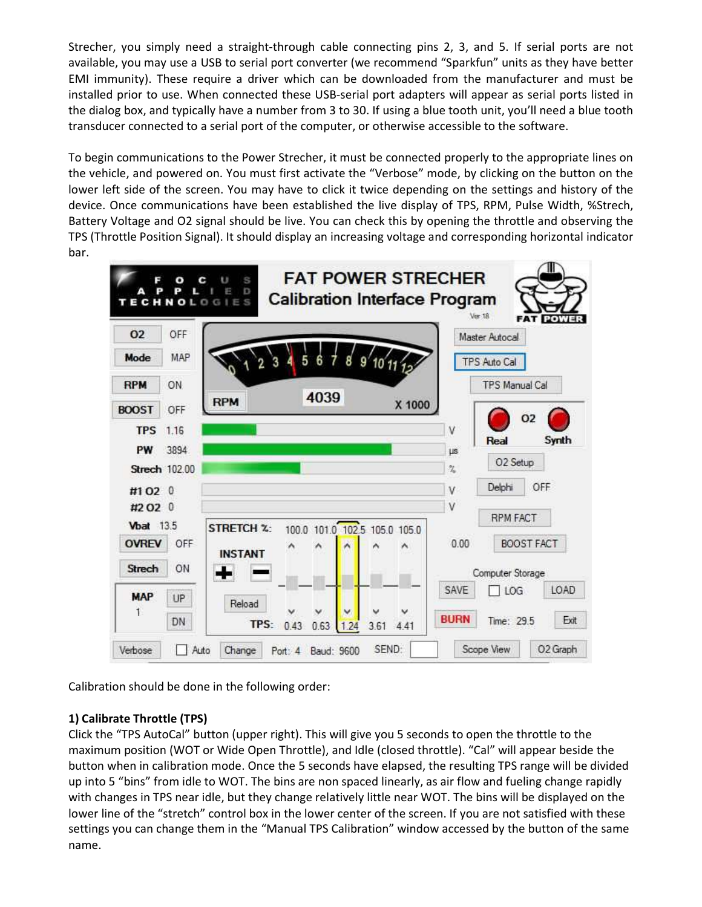Strecher, you simply need a straight-through cable connecting pins 2, 3, and 5. If serial ports are not available, you may use a USB to serial port converter (we recommend "Sparkfun" units as they have better EMI immunity). These require a driver which can be downloaded from the manufacturer and must be installed prior to use. When connected these USB-serial port adapters will appear as serial ports listed in the dialog box, and typically have a number from 3 to 30. If using a blue tooth unit, you'll need a blue tooth transducer connected to a serial port of the computer, or otherwise accessible to the software.

To begin communications to the Power Strecher, it must be connected properly to the appropriate lines on the vehicle, and powered on. You must first activate the "Verbose" mode, by clicking on the button on the lower left side of the screen. You may have to click it twice depending on the settings and history of the device. Once communications have been established the live display of TPS, RPM, Pulse Width, %Strech, Battery Voltage and O2 signal should be live. You can check this by opening the throttle and observing the TPS (Throttle Position Signal). It should display an increasing voltage and corresponding horizontal indicator bar.



Calibration should be done in the following order:

# **1) Calibrate Throttle (TPS)**

Click the "TPS AutoCal" button (upper right). This will give you 5 seconds to open the throttle to the maximum position (WOT or Wide Open Throttle), and Idle (closed throttle). "Cal" will appear beside the button when in calibration mode. Once the 5 seconds have elapsed, the resulting TPS range will be divided up into 5 "bins" from idle to WOT. The bins are non spaced linearly, as air flow and fueling change rapidly with changes in TPS near idle, but they change relatively little near WOT. The bins will be displayed on the lower line of the "stretch" control box in the lower center of the screen. If you are not satisfied with these settings you can change them in the "Manual TPS Calibration" window accessed by the button of the same name.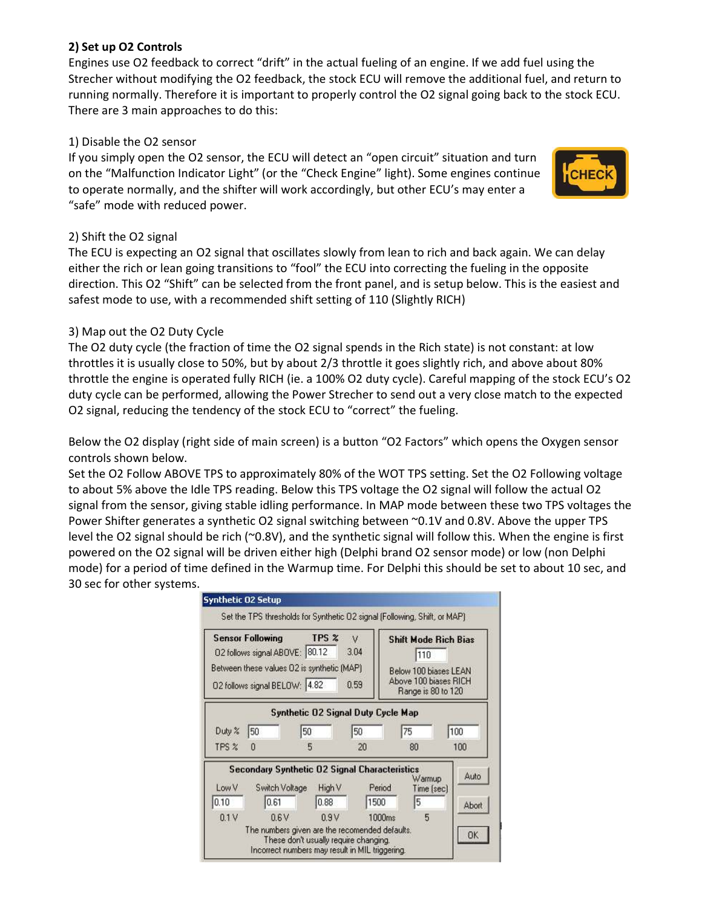## **2) Set up O2 Controls**

Engines use O2 feedback to correct "drift" in the actual fueling of an engine. If we add fuel using the Strecher without modifying the O2 feedback, the stock ECU will remove the additional fuel, and return to running normally. Therefore it is important to properly control the O2 signal going back to the stock ECU. There are 3 main approaches to do this:

## 1) Disable the O2 sensor

If you simply open the O2 sensor, the ECU will detect an "open circuit" situation and turn on the "Malfunction Indicator Light" (or the "Check Engine" light). Some engines continue to operate normally, and the shifter will work accordingly, but other ECU's may enter a "safe" mode with reduced power.



## 2) Shift the O2 signal

The ECU is expecting an O2 signal that oscillates slowly from lean to rich and back again. We can delay either the rich or lean going transitions to "fool" the ECU into correcting the fueling in the opposite direction. This O2 "Shift" can be selected from the front panel, and is setup below. This is the easiest and safest mode to use, with a recommended shift setting of 110 (Slightly RICH)

## 3) Map out the O2 Duty Cycle

The O2 duty cycle (the fraction of time the O2 signal spends in the Rich state) is not constant: at low throttles it is usually close to 50%, but by about 2/3 throttle it goes slightly rich, and above about 80% throttle the engine is operated fully RICH (ie. a 100% O2 duty cycle). Careful mapping of the stock ECU's O2 duty cycle can be performed, allowing the Power Strecher to send out a very close match to the expected O2 signal, reducing the tendency of the stock ECU to "correct" the fueling.

Below the O2 display (right side of main screen) is a button "O2 Factors" which opens the Oxygen sensor controls shown below.

Set the O2 Follow ABOVE TPS to approximately 80% of the WOT TPS setting. Set the O2 Following voltage to about 5% above the Idle TPS reading. Below this TPS voltage the O2 signal will follow the actual O2 signal from the sensor, giving stable idling performance. In MAP mode between these two TPS voltages the Power Shifter generates a synthetic O2 signal switching between ~0.1V and 0.8V. Above the upper TPS level the O2 signal should be rich (~0.8V), and the synthetic signal will follow this. When the engine is first powered on the O2 signal will be driven either high (Delphi brand O2 sensor mode) or low (non Delphi mode) for a period of time defined in the Warmup time. For Delphi this should be set to about 10 sec, and 30 sec for other systems.

|        | <b>Sensor Following</b><br>02 follows signal ABOVE: 80.12 | TPS %                                                | V<br>3.04      | <b>Shift Mode Rich Bias</b><br>110                                   |       |
|--------|-----------------------------------------------------------|------------------------------------------------------|----------------|----------------------------------------------------------------------|-------|
|        | 02 follows signal BELOW: 4.82                             | Between these values 02 is synthetic (MAP)           | 0.59           | Below 100 biases LEAN<br>Above 100 biases RICH<br>Range is 80 to 120 |       |
|        |                                                           | <b>Synthetic O2 Signal Duty Cycle Map</b>            |                |                                                                      |       |
| Duty % | 50                                                        | 50                                                   | 50             | 75                                                                   | 100   |
| TPS %  | n                                                         | 5                                                    | 20             | 80                                                                   | 100   |
|        |                                                           | <b>Secondary Synthetic 02 Signal Characteristics</b> |                | Warmup                                                               | Auto  |
| Low V  | Switch Voltage<br>0.61                                    | High V<br>0.88                                       | Period<br>1500 | Time [sec]<br>5                                                      |       |
| 0.10   |                                                           |                                                      |                |                                                                      | Abort |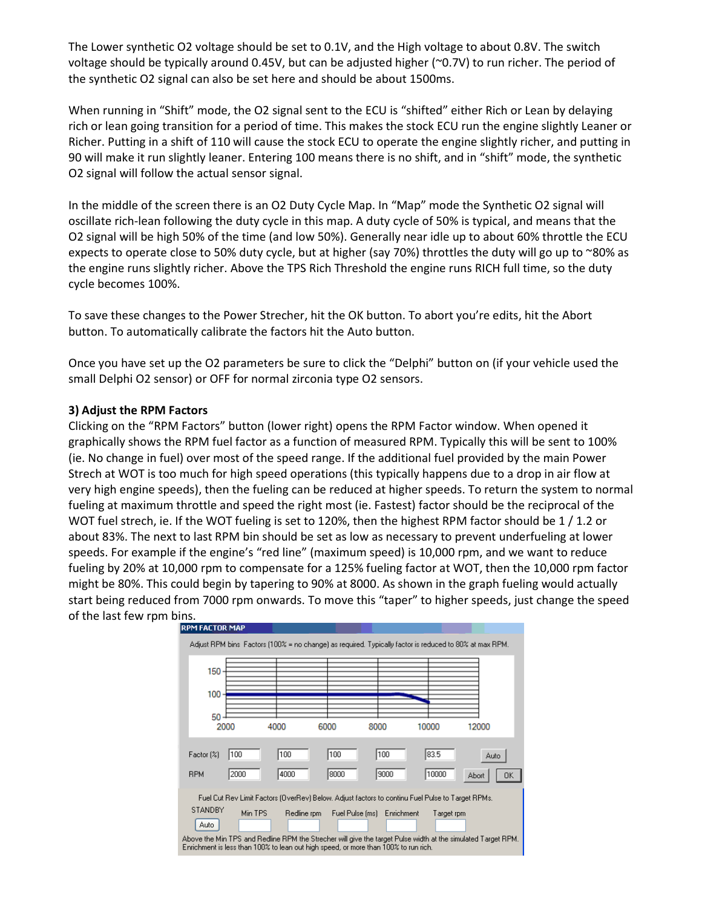The Lower synthetic O2 voltage should be set to 0.1V, and the High voltage to about 0.8V. The switch voltage should be typically around 0.45V, but can be adjusted higher (~0.7V) to run richer. The period of the synthetic O2 signal can also be set here and should be about 1500ms.

When running in "Shift" mode, the O2 signal sent to the ECU is "shifted" either Rich or Lean by delaying rich or lean going transition for a period of time. This makes the stock ECU run the engine slightly Leaner or Richer. Putting in a shift of 110 will cause the stock ECU to operate the engine slightly richer, and putting in 90 will make it run slightly leaner. Entering 100 means there is no shift, and in "shift" mode, the synthetic O2 signal will follow the actual sensor signal.

In the middle of the screen there is an O2 Duty Cycle Map. In "Map" mode the Synthetic O2 signal will oscillate rich-lean following the duty cycle in this map. A duty cycle of 50% is typical, and means that the O2 signal will be high 50% of the time (and low 50%). Generally near idle up to about 60% throttle the ECU expects to operate close to 50% duty cycle, but at higher (say 70%) throttles the duty will go up to ~80% as the engine runs slightly richer. Above the TPS Rich Threshold the engine runs RICH full time, so the duty cycle becomes 100%.

To save these changes to the Power Strecher, hit the OK button. To abort you're edits, hit the Abort button. To automatically calibrate the factors hit the Auto button.

Once you have set up the O2 parameters be sure to click the "Delphi" button on (if your vehicle used the small Delphi O2 sensor) or OFF for normal zirconia type O2 sensors.

#### **3) Adjust the RPM Factors**

Clicking on the "RPM Factors" button (lower right) opens the RPM Factor window. When opened it graphically shows the RPM fuel factor as a function of measured RPM. Typically this will be sent to 100% (ie. No change in fuel) over most of the speed range. If the additional fuel provided by the main Power Strech at WOT is too much for high speed operations (this typically happens due to a drop in air flow at very high engine speeds), then the fueling can be reduced at higher speeds. To return the system to normal fueling at maximum throttle and speed the right most (ie. Fastest) factor should be the reciprocal of the WOT fuel strech, ie. If the WOT fueling is set to 120%, then the highest RPM factor should be 1 / 1.2 or about 83%. The next to last RPM bin should be set as low as necessary to prevent underfueling at lower speeds. For example if the engine's "red line" (maximum speed) is 10,000 rpm, and we want to reduce fueling by 20% at 10,000 rpm to compensate for a 125% fueling factor at WOT, then the 10,000 rpm factor might be 80%. This could begin by tapering to 90% at 8000. As shown in the graph fueling would actually start being reduced from 7000 rpm onwards. To move this "taper" to higher speeds, just change the speed of the last few rpm bins.

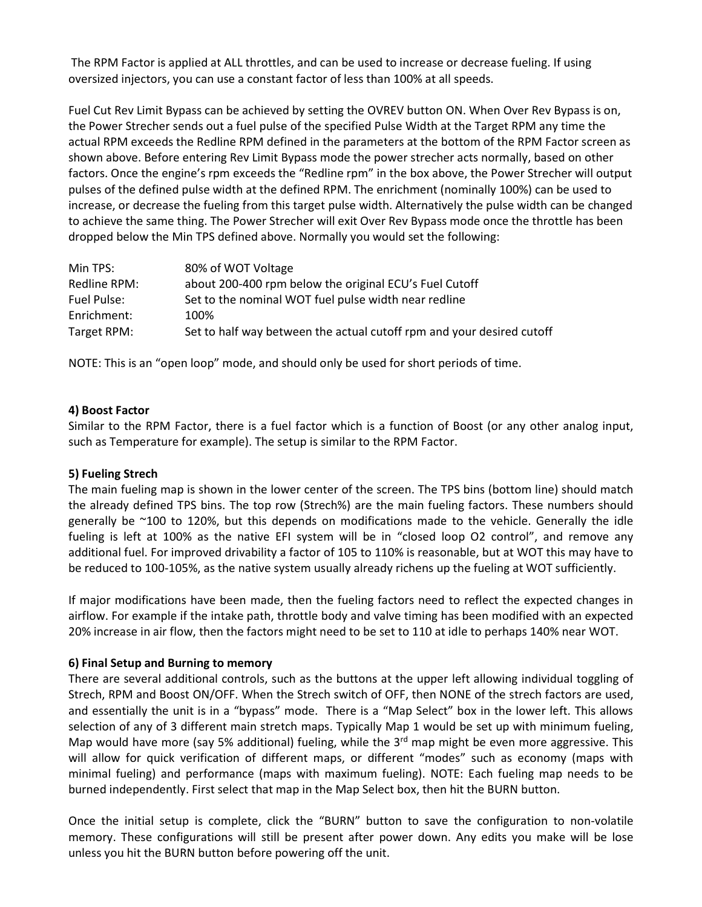The RPM Factor is applied at ALL throttles, and can be used to increase or decrease fueling. If using oversized injectors, you can use a constant factor of less than 100% at all speeds.

Fuel Cut Rev Limit Bypass can be achieved by setting the OVREV button ON. When Over Rev Bypass is on, the Power Strecher sends out a fuel pulse of the specified Pulse Width at the Target RPM any time the actual RPM exceeds the Redline RPM defined in the parameters at the bottom of the RPM Factor screen as shown above. Before entering Rev Limit Bypass mode the power strecher acts normally, based on other factors. Once the engine's rpm exceeds the "Redline rpm" in the box above, the Power Strecher will output pulses of the defined pulse width at the defined RPM. The enrichment (nominally 100%) can be used to increase, or decrease the fueling from this target pulse width. Alternatively the pulse width can be changed to achieve the same thing. The Power Strecher will exit Over Rev Bypass mode once the throttle has been dropped below the Min TPS defined above. Normally you would set the following:

| Min TPS:     | 80% of WOT Voltage                                                    |
|--------------|-----------------------------------------------------------------------|
| Redline RPM: | about 200-400 rpm below the original ECU's Fuel Cutoff                |
| Fuel Pulse:  | Set to the nominal WOT fuel pulse width near redline                  |
| Enrichment:  | 100%                                                                  |
| Target RPM:  | Set to half way between the actual cutoff rpm and your desired cutoff |

NOTE: This is an "open loop" mode, and should only be used for short periods of time.

#### **4) Boost Factor**

Similar to the RPM Factor, there is a fuel factor which is a function of Boost (or any other analog input, such as Temperature for example). The setup is similar to the RPM Factor.

#### **5) Fueling Strech**

The main fueling map is shown in the lower center of the screen. The TPS bins (bottom line) should match the already defined TPS bins. The top row (Strech%) are the main fueling factors. These numbers should generally be ~100 to 120%, but this depends on modifications made to the vehicle. Generally the idle fueling is left at 100% as the native EFI system will be in "closed loop O2 control", and remove any additional fuel. For improved drivability a factor of 105 to 110% is reasonable, but at WOT this may have to be reduced to 100-105%, as the native system usually already richens up the fueling at WOT sufficiently.

If major modifications have been made, then the fueling factors need to reflect the expected changes in airflow. For example if the intake path, throttle body and valve timing has been modified with an expected 20% increase in air flow, then the factors might need to be set to 110 at idle to perhaps 140% near WOT.

#### **6) Final Setup and Burning to memory**

There are several additional controls, such as the buttons at the upper left allowing individual toggling of Strech, RPM and Boost ON/OFF. When the Strech switch of OFF, then NONE of the strech factors are used, and essentially the unit is in a "bypass" mode. There is a "Map Select" box in the lower left. This allows selection of any of 3 different main stretch maps. Typically Map 1 would be set up with minimum fueling, Map would have more (say 5% additional) fueling, while the 3<sup>rd</sup> map might be even more aggressive. This will allow for quick verification of different maps, or different "modes" such as economy (maps with minimal fueling) and performance (maps with maximum fueling). NOTE: Each fueling map needs to be burned independently. First select that map in the Map Select box, then hit the BURN button.

Once the initial setup is complete, click the "BURN" button to save the configuration to non-volatile memory. These configurations will still be present after power down. Any edits you make will be lose unless you hit the BURN button before powering off the unit.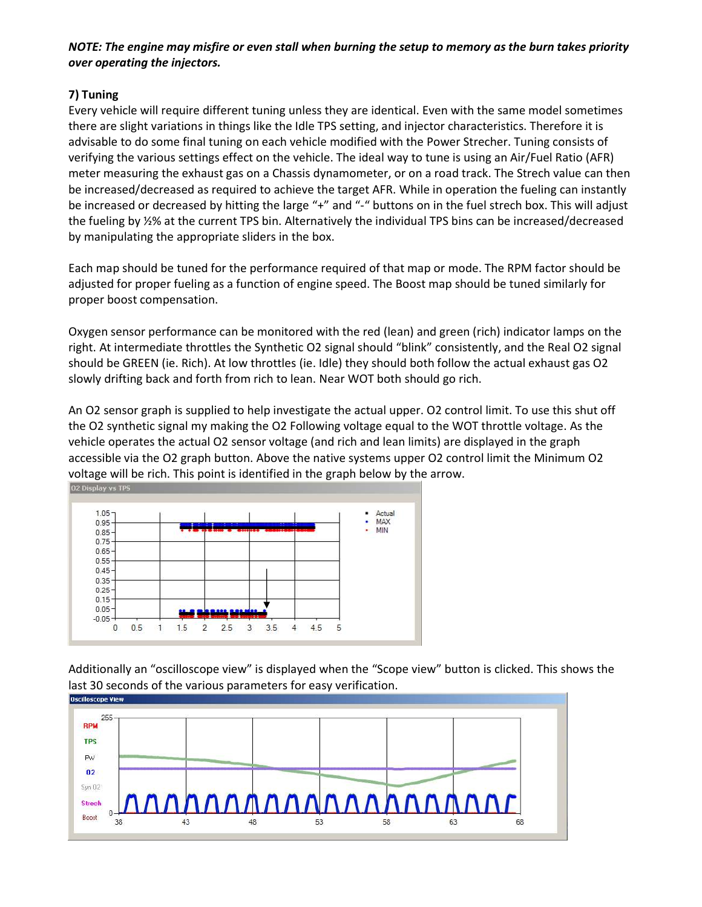## *NOTE: The engine may misfire or even stall when burning the setup to memory as the burn takes priority over operating the injectors.*

# **7) Tuning**

Every vehicle will require different tuning unless they are identical. Even with the same model sometimes there are slight variations in things like the Idle TPS setting, and injector characteristics. Therefore it is advisable to do some final tuning on each vehicle modified with the Power Strecher. Tuning consists of verifying the various settings effect on the vehicle. The ideal way to tune is using an Air/Fuel Ratio (AFR) meter measuring the exhaust gas on a Chassis dynamometer, or on a road track. The Strech value can then be increased/decreased as required to achieve the target AFR. While in operation the fueling can instantly be increased or decreased by hitting the large "+" and "-" buttons on in the fuel strech box. This will adjust the fueling by ½% at the current TPS bin. Alternatively the individual TPS bins can be increased/decreased by manipulating the appropriate sliders in the box.

Each map should be tuned for the performance required of that map or mode. The RPM factor should be adjusted for proper fueling as a function of engine speed. The Boost map should be tuned similarly for proper boost compensation.

Oxygen sensor performance can be monitored with the red (lean) and green (rich) indicator lamps on the right. At intermediate throttles the Synthetic O2 signal should "blink" consistently, and the Real O2 signal should be GREEN (ie. Rich). At low throttles (ie. Idle) they should both follow the actual exhaust gas O2 slowly drifting back and forth from rich to lean. Near WOT both should go rich.

An O2 sensor graph is supplied to help investigate the actual upper. O2 control limit. To use this shut off the O2 synthetic signal my making the O2 Following voltage equal to the WOT throttle voltage. As the vehicle operates the actual O2 sensor voltage (and rich and lean limits) are displayed in the graph accessible via the O2 graph button. Above the native systems upper O2 control limit the Minimum O2 voltage will be rich. This point is identified in the graph below by the arrow.



Additionally an "oscilloscope view" is displayed when the "Scope view" button is clicked. This shows the last 30 seconds of the various parameters for easy verification.

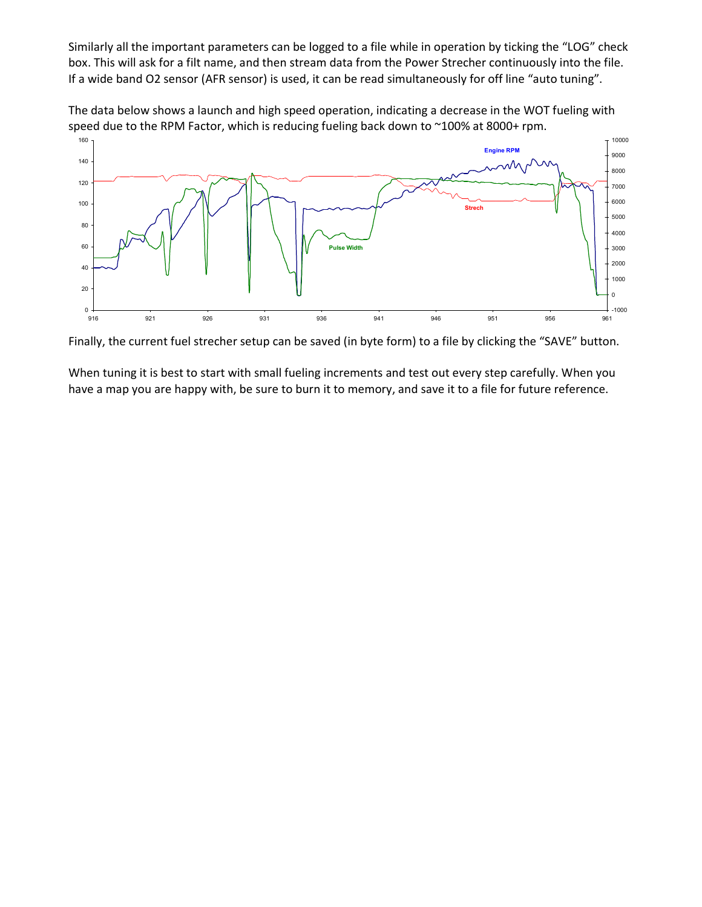Similarly all the important parameters can be logged to a file while in operation by ticking the "LOG" check box. This will ask for a filt name, and then stream data from the Power Strecher continuously into the file. If a wide band O2 sensor (AFR sensor) is used, it can be read simultaneously for off line "auto tuning".

The data below shows a launch and high speed operation, indicating a decrease in the WOT fueling with speed due to the RPM Factor, which is reducing fueling back down to ~100% at 8000+ rpm.



Finally, the current fuel strecher setup can be saved (in byte form) to a file by clicking the "SAVE" button.

When tuning it is best to start with small fueling increments and test out every step carefully. When you have a map you are happy with, be sure to burn it to memory, and save it to a file for future reference.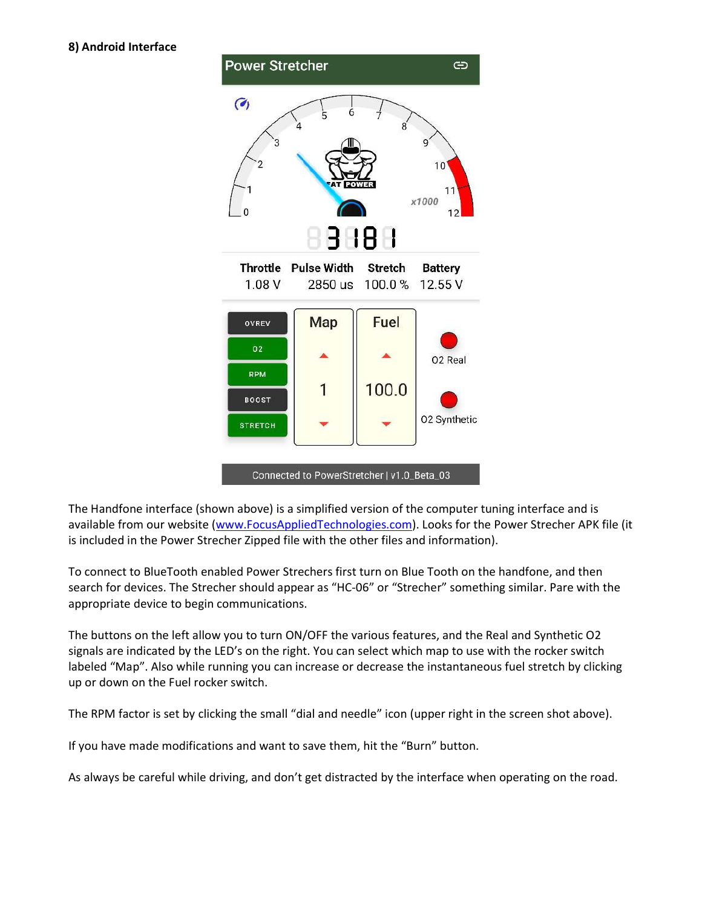

Connected to PowerStretcher | v1.0\_Beta\_03

The Handfone interface (shown above) is a simplified version of the computer tuning interface and is available from our website (www.FocusAppliedTechnologies.com). Looks for the Power Strecher APK file (it is included in the Power Strecher Zipped file with the other files and information).

To connect to BlueTooth enabled Power Strechers first turn on Blue Tooth on the handfone, and then search for devices. The Strecher should appear as "HC-06" or "Strecher" something similar. Pare with the appropriate device to begin communications.

The buttons on the left allow you to turn ON/OFF the various features, and the Real and Synthetic O2 signals are indicated by the LED's on the right. You can select which map to use with the rocker switch labeled "Map". Also while running you can increase or decrease the instantaneous fuel stretch by clicking up or down on the Fuel rocker switch.

The RPM factor is set by clicking the small "dial and needle" icon (upper right in the screen shot above).

If you have made modifications and want to save them, hit the "Burn" button.

As always be careful while driving, and don't get distracted by the interface when operating on the road.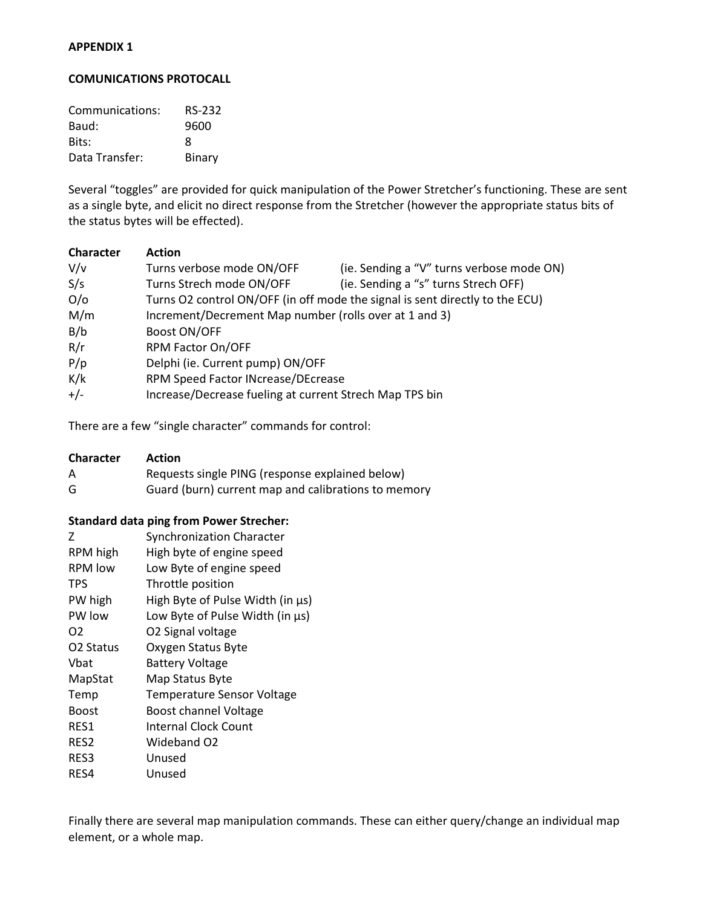#### **APPENDIX 1**

#### **COMUNICATIONS PROTOCALL**

| Communications: | <b>RS-232</b> |
|-----------------|---------------|
| Baud:           | 9600          |
| Bits:           | 8             |
| Data Transfer:  | Binary        |

Several "toggles" are provided for quick manipulation of the Power Stretcher's functioning. These are sent as a single byte, and elicit no direct response from the Stretcher (however the appropriate status bits of the status bytes will be effected).

| <b>Character</b> | <b>Action</b>                                           |                                                                              |
|------------------|---------------------------------------------------------|------------------------------------------------------------------------------|
| V/v              | Turns verbose mode ON/OFF                               | (ie. Sending a "V" turns verbose mode ON)                                    |
| S/s              | Turns Strech mode ON/OFF                                | (ie. Sending a "s" turns Strech OFF)                                         |
| O/O              |                                                         | Turns O2 control ON/OFF (in off mode the signal is sent directly to the ECU) |
| M/m              | Increment/Decrement Map number (rolls over at 1 and 3)  |                                                                              |
| B/b              | Boost ON/OFF                                            |                                                                              |
| R/r              | RPM Factor On/OFF                                       |                                                                              |
| P/p              | Delphi (ie. Current pump) ON/OFF                        |                                                                              |
| K/k              | RPM Speed Factor INcrease/DEcrease                      |                                                                              |
| $+/-$            | Increase/Decrease fueling at current Strech Map TPS bin |                                                                              |

There are a few "single character" commands for control:

| <b>Character</b> | <b>Action</b>                                       |
|------------------|-----------------------------------------------------|
| A                | Requests single PING (response explained below)     |
| G                | Guard (burn) current map and calibrations to memory |

#### **Standard data ping from Power Strecher:**

| 7                     | <b>Synchronization Character</b>  |
|-----------------------|-----------------------------------|
| RPM high              | High byte of engine speed         |
| <b>RPM</b> low        | Low Byte of engine speed          |
| <b>TPS</b>            | Throttle position                 |
| PW high               | High Byte of Pulse Width (in µs)  |
| PW low                | Low Byte of Pulse Width (in us)   |
| O <sub>2</sub>        | O2 Signal voltage                 |
| O <sub>2</sub> Status | Oxygen Status Byte                |
| Vhat                  | <b>Battery Voltage</b>            |
| MapStat               | Map Status Byte                   |
| Temp                  | <b>Temperature Sensor Voltage</b> |
| <b>Boost</b>          | <b>Boost channel Voltage</b>      |
| RES1                  | Internal Clock Count              |
| RES2                  | Wideband O2                       |
| RES3                  | Unused                            |
| RES4                  | Unused                            |

Finally there are several map manipulation commands. These can either query/change an individual map element, or a whole map.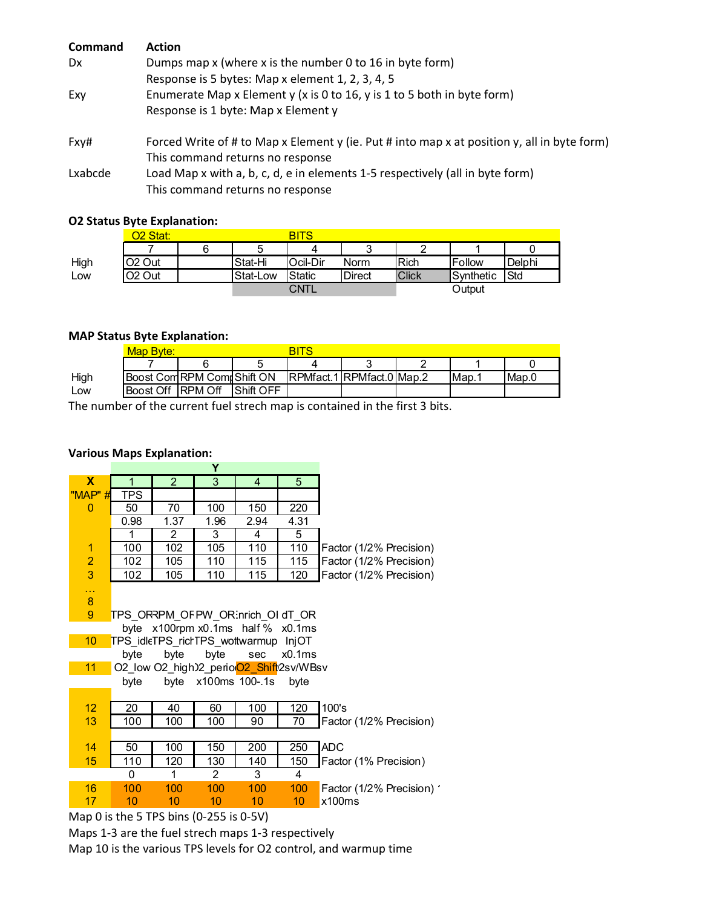| <b>Command</b> | <b>Action</b>                                                                               |
|----------------|---------------------------------------------------------------------------------------------|
| <b>Dx</b>      | Dumps map x (where x is the number 0 to 16 in byte form)                                    |
|                | Response is 5 bytes: Map x element 1, 2, 3, 4, 5                                            |
| Exy            | Enumerate Map x Element y (x is 0 to 16, y is 1 to 5 both in byte form)                     |
|                | Response is 1 byte: Map x Element y                                                         |
| Fxy#           | Forced Write of # to Map x Element y (ie. Put # into map x at position y, all in byte form) |
|                | This command returns no response                                                            |
| Lxabcde        | Load Map x with a, b, c, d, e in elements 1-5 respectively (all in byte form)               |
|                | This command returns no response                                                            |

### **O2 Status Byte Explanation:**

|      | 22 Stat:           |  |          | <b>BITS</b> |               |              |           |        |
|------|--------------------|--|----------|-------------|---------------|--------------|-----------|--------|
|      |                    |  |          | 4           | ົ<br>ື        |              |           |        |
| High | O <sub>2</sub> Out |  | Stat-Hi  | Ocil-Dir    | Norm          | <b>Rich</b>  | Follow    | Delphi |
| LOW  | O <sub>2</sub> Out |  | Stat-Low | IStatic     | <b>Direct</b> | <b>Click</b> | Synthetic | Std    |
|      |                    |  |          | CNTL        |               |              | Output    |        |

#### **MAP Status Byte Explanation:**

|      | Map Bvte:         |                            |           | BITS                      |  |  |      |       |
|------|-------------------|----------------------------|-----------|---------------------------|--|--|------|-------|
|      |                   |                            |           |                           |  |  |      |       |
| High |                   | Boost Com RPM Com Shift ON |           | RPMfact.1 RPMfact.0 Map.2 |  |  | Map. | Map.C |
| ∟ow  | Boost Off RPM Off |                            | Shift OFF |                           |  |  |      |       |

The number of the current fuel strech map is contained in the first 3 bits.

#### **Various Maps Explanation:**

|                 |                                                            |                                      | Y              |                |      |                           |  |  |  |  |
|-----------------|------------------------------------------------------------|--------------------------------------|----------------|----------------|------|---------------------------|--|--|--|--|
| X               | 1                                                          | $\overline{2}$                       | 3              | $\overline{4}$ | 5    |                           |  |  |  |  |
| "MAP" #         | <b>TPS</b>                                                 |                                      |                |                |      |                           |  |  |  |  |
| $\mathbf{0}$    | 50                                                         | 70                                   | 100            | 150            | 220  |                           |  |  |  |  |
|                 | 0.98                                                       | 1.37                                 | 1.96           | 2.94           | 4.31 |                           |  |  |  |  |
|                 | 1                                                          | $\overline{c}$                       | 3              | 4              | 5    |                           |  |  |  |  |
| $\overline{1}$  | 100                                                        | 102                                  | 105            | 110            | 110  | Factor (1/2% Precision)   |  |  |  |  |
| $\overline{2}$  | 102                                                        | 105                                  | 110            | 115            | 115  | Factor (1/2% Precision)   |  |  |  |  |
| 3               | 102                                                        | 105                                  | 110            | 115            | 120  | Factor (1/2% Precision)   |  |  |  |  |
| 44              |                                                            |                                      |                |                |      |                           |  |  |  |  |
| $\bf 8$         |                                                            |                                      |                |                |      |                           |  |  |  |  |
| 9               |                                                            | TPS_ORRPM_OFPW_OR:nrich_OI dT_OR     |                |                |      |                           |  |  |  |  |
|                 | byte                                                       | x100rpm x0.1ms half % x0.1ms         |                |                |      |                           |  |  |  |  |
| 10 <sup>1</sup> |                                                            | TPS idleTPS rictTPS wottwarmup InjOT |                |                |      |                           |  |  |  |  |
|                 | byte<br>byte<br>byte<br>sec<br>x0.1ms                      |                                      |                |                |      |                           |  |  |  |  |
|                 | 11<br>O2_low O2_high)2_perioO2_Shift <sup>1</sup> 2sv/WBsv |                                      |                |                |      |                           |  |  |  |  |
|                 | byte x100ms 100-.1s<br>byte<br>byte                        |                                      |                |                |      |                           |  |  |  |  |
|                 |                                                            |                                      |                |                |      |                           |  |  |  |  |
| 12 <sup>2</sup> | 20                                                         | 40                                   | 60             | 100            | 120  | 100's                     |  |  |  |  |
| 13              | 100                                                        | 100                                  | 100            | 90             | 70   | Factor (1/2% Precision)   |  |  |  |  |
|                 |                                                            |                                      |                |                |      |                           |  |  |  |  |
| 14              | 50                                                         | 100                                  | 150            | 200            | 250  | <b>ADC</b>                |  |  |  |  |
| 15              | 110                                                        | 120                                  | 130            | 140            | 150  | Factor (1% Precision)     |  |  |  |  |
|                 | $\Omega$                                                   | 1                                    | $\overline{2}$ | 3              | 4    |                           |  |  |  |  |
| 16              | 100                                                        | 100                                  | 100            | 100            | 100  | Factor (1/2% Precision) 1 |  |  |  |  |
| 17              | 10                                                         | 10                                   | 10             | 10             | 10   | x100ms                    |  |  |  |  |
|                 | Man $\Omega$ is the 5 TPS hins (0-255 is 0-51)             |                                      |                |                |      |                           |  |  |  |  |

Map 0 is the 5 TPS bins (0-255 is 0-5V)

Maps 1-3 are the fuel strech maps 1-3 respectively

Map 10 is the various TPS levels for O2 control, and warmup time